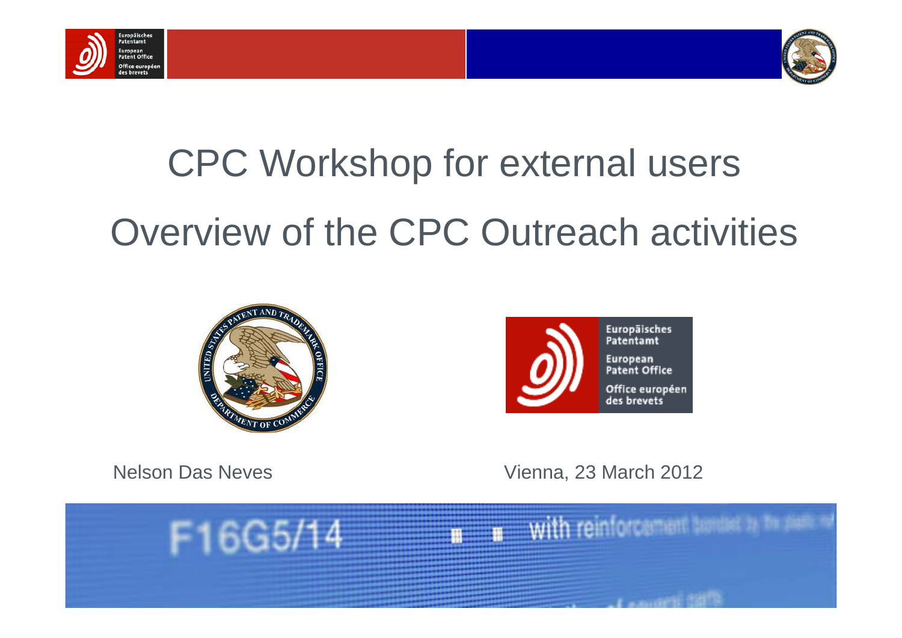



# CPC Workshop for external users Overview of the CPC Outreach activities





Nelson Das Neves Vienna, 23 March 2012

 $\mathbf{r}$  with reinforcement tended to the party

**Comment Comment Contracts** 

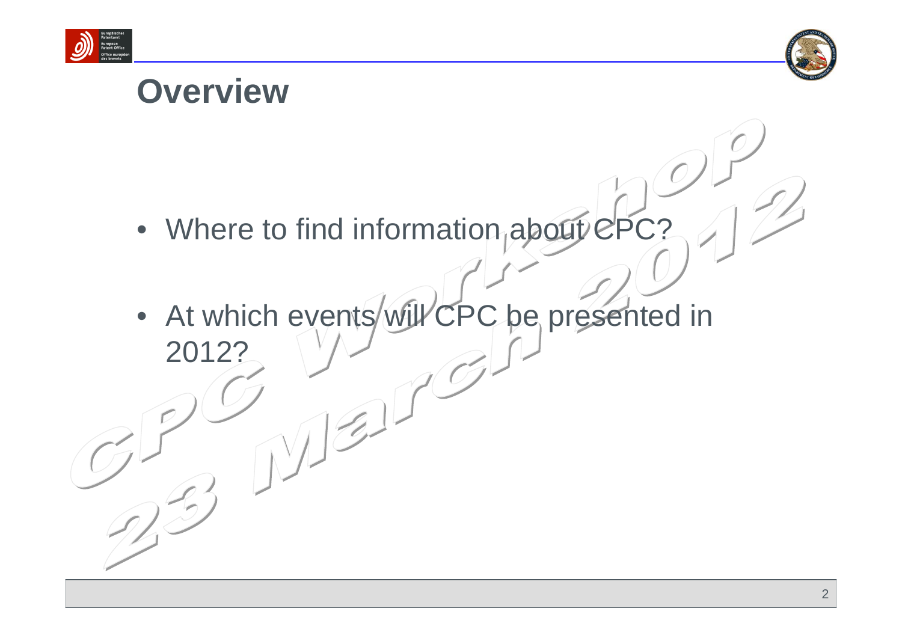



# **Overview**

- Where to find information about CPC?
- At which events will CPC be presented in 2012?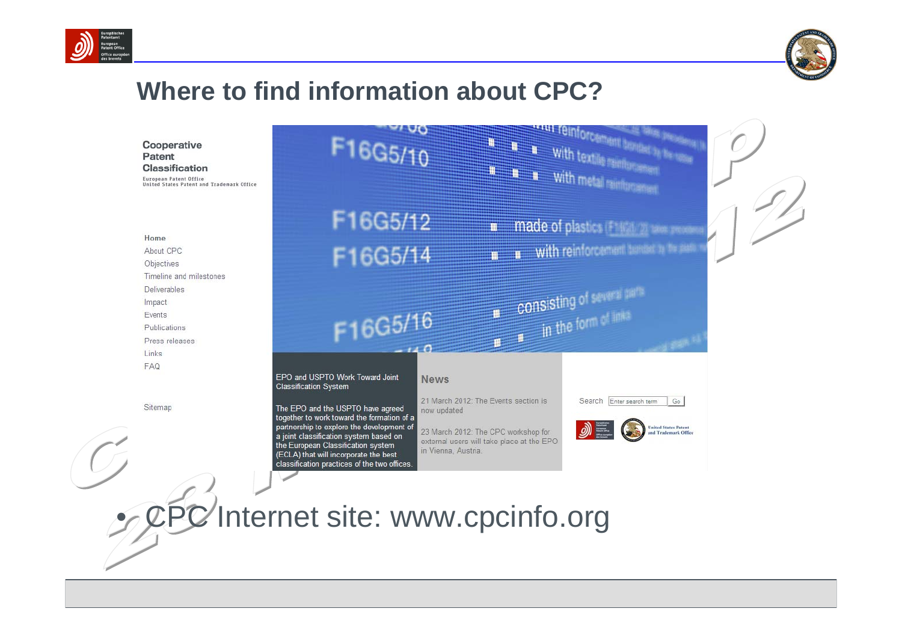



Cooperative Patent **Classification** European Patent Office United States Patent and Tradem

Home

About CPC Objectives Timeline and milestones Deliverables Impact Events Publications Press releases Links FAQ

Sitemap

| F16G5/10                                                                                                                                                                                                                                                                                              | <b>ARTICLE TO INTO CARD AND AND</b><br><b>WE WE WE With textils minimum</b><br><b>It is a with metal reinforcement</b>                                                                                                                                                      |
|-------------------------------------------------------------------------------------------------------------------------------------------------------------------------------------------------------------------------------------------------------------------------------------------------------|-----------------------------------------------------------------------------------------------------------------------------------------------------------------------------------------------------------------------------------------------------------------------------|
| F16G5/12                                                                                                                                                                                                                                                                                              | made of plastics (F1401) 20 see recen<br>E                                                                                                                                                                                                                                  |
| F16G5/14                                                                                                                                                                                                                                                                                              | <b>n</b> with reinforcement tunded to be past                                                                                                                                                                                                                               |
| F16G5/16                                                                                                                                                                                                                                                                                              | <b>III</b> CONSisting of several parts<br>$\mathbf{m} = \mathbf{m}$ in the form of links                                                                                                                                                                                    |
| EPO and USPTO Work Toward Joint<br><b>Classification System</b>                                                                                                                                                                                                                                       | <b>News</b>                                                                                                                                                                                                                                                                 |
| The EPO and the USPTO have agreed<br>together to work toward the formation of a<br>partnership to explore the development of<br>a joint classification system based on<br>the European Classification system<br>(ECLA) that will incorporate the best<br>classification practices of the two offices. | 21 March 2012: The Events section is<br>Search Enter search term<br>Go<br>now updated<br>$\mathcal{D}$<br><b>United States Patent</b><br>23 March 2012: The CPC workshop for<br><b>Trademark Office</b><br>external users will take place at the EPO<br>in Vienna, Austria. |

• CPC Internet site: www.cpcinfo.org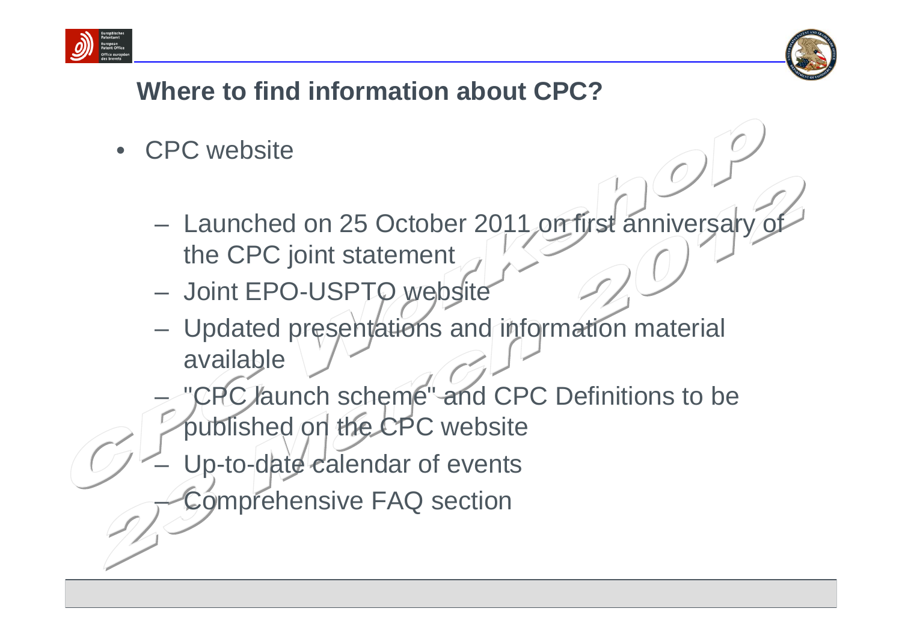



- CPC website
	- Launched on 25 October 2011 on first anniversary of the CPC joint statement
	- Joint EPO-USPTO website
	- Updated presentations and information material available
	- "CPC launch scheme" and CPC Definitions to be published on the CPC website
	- Up-to-date calendar of events
		- Comprehensive FAQ section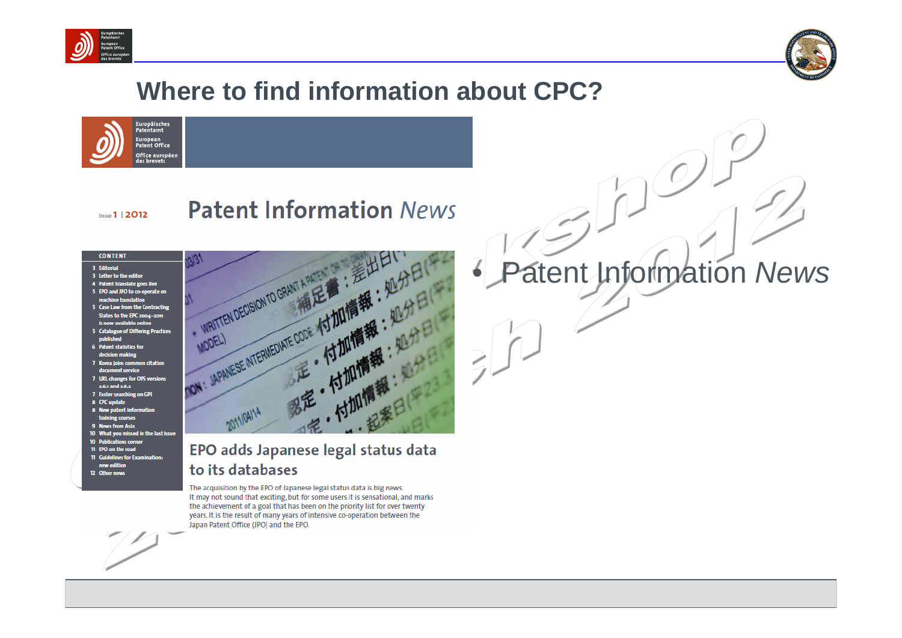





### **Patent Information News**

#### **CONTENT**

3 Editorial

**Issue 1 | 2012** 

- 3 Letter to the editor
- 4 Patent translate goes live 5 EPO and JPO to co-operate on
- machine translation 5 Case Law from the Contracting States to the EPC 2004-2011
- is now available online 5 Catalogue of Differing Practices
- **6** Patent statistics for
- decision making
- 7 Korea joins common citation document service
- 7 URL changes for OPS versions 2.6.1 and 2.6.2
- 7 Faster searching on GPI 8 CPC update
- 8 New patent information
- training courses
- 9 News from Asia
- 10 What you missed in the last issue
- **10 Publications corner** 11 EPO on the road
- 11 Guidelines for Examination: new edition
- 12 Other news



### EPO adds Japanese legal status data to its databases

The acquisition by the EPO of Japanese legal status data is big news. It may not sound that exciting, but for some users it is sensational, and marks the achievement of a goal that has been on the priority list for over twenty years. It is the result of many years of intensive co-operation between the Japan Patent Office (JPO) and the EPO.

# • Patent Information *News*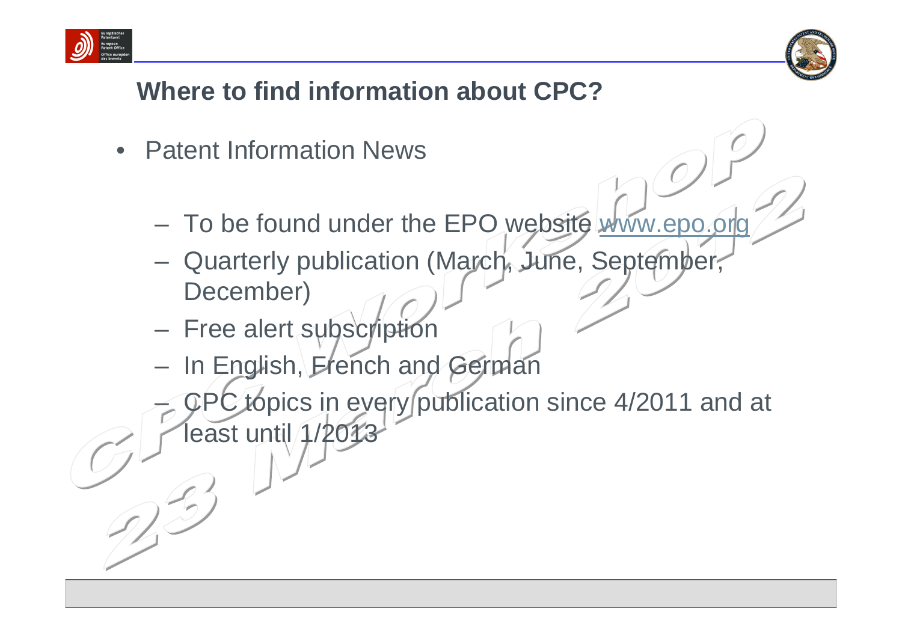



- **Patent Information News** 
	- To be found under the EPO website [www.epo.org](http://www.epo.org/)
	- Quarterly publication (March, June, September, December)
	- Free alert subscription
	- In English, French and German
	- topics in every publication since 4/2011 and at least until 1/20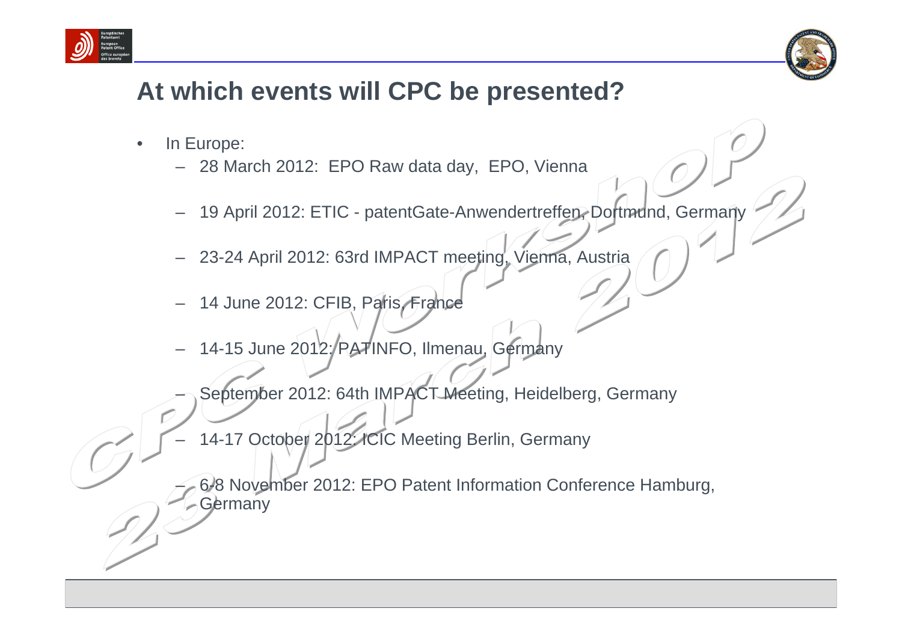



## **At which events will CPC be presented?**

- In Europe:
	- 28 March 2012: EPO Raw data day, EPO, Vienna
	- 19 April 2012: ETIC patentGate-Anwendertreffen, Dortmund, Germany
	- 23-24 April 2012: 63rd IMPACT meeting, Vienna, Austria
	- 14 June 2012: CFIB, Paris, France
	- 14-15 June 2012: PATINFO, Ilmenau, Germany
	- September 2012: 64th IMPACT Meeting, Heidelberg, Germany
	- 14-17 October 2012: ICIC Meeting Berlin, Germany
	- 6-8 November 2012: EPO Patent Information Conference Hamburg, Germany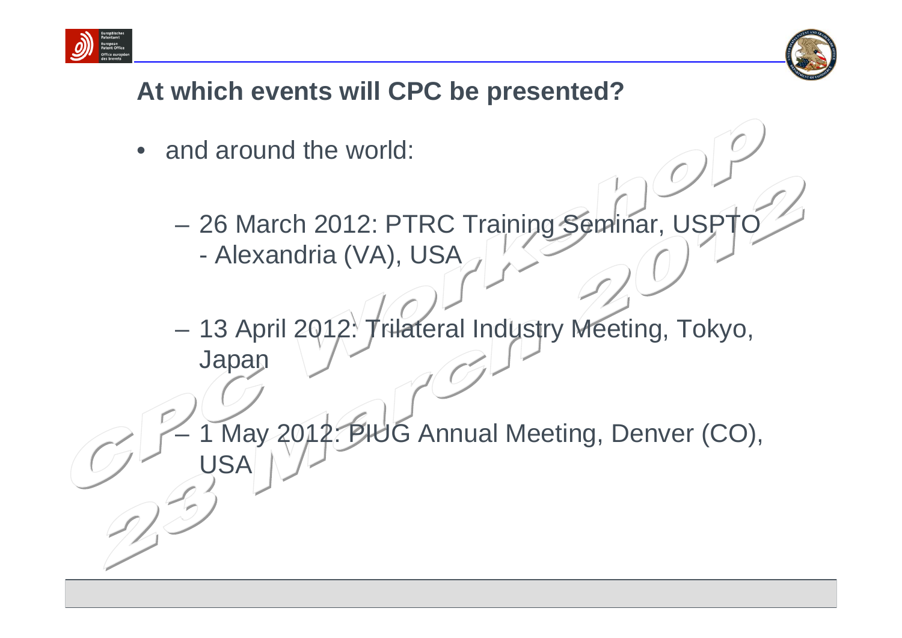



# **At which events will CPC be presented?**

- and around the world:
	- 26 March 2012: PTRC Training Seminar, USPT - Alexandria (VA), USA
	- 13 April 2012: Trilateral Industry Meeting, Tokyo, **Japan**

May 2012: PHUG Annual Meeting, Denver (CO), USA